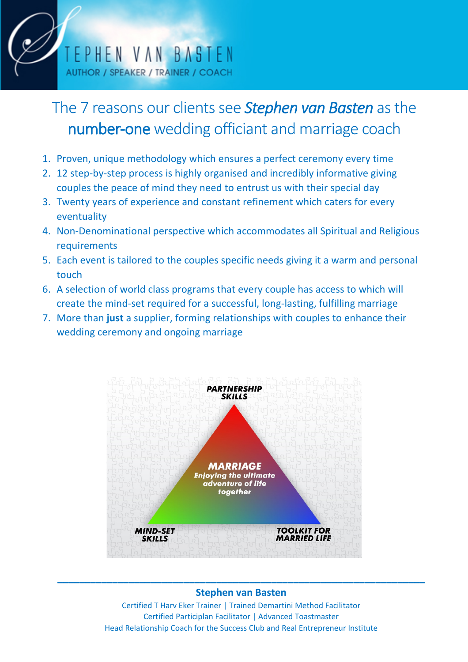

# The 7 reasons our clients see *Stephen van Basten* as the number-one wedding officiant and marriage coach

- 1. Proven, unique methodology which ensures a perfect ceremony every time
- 2. 12 step-by-step process is highly organised and incredibly informative giving couples the peace of mind they need to entrust us with their special day
- 3. Twenty years of experience and constant refinement which caters for every eventuality
- 4. Non-Denominational perspective which accommodates all Spiritual and Religious requirements
- 5. Each event is tailored to the couples specific needs giving it a warm and personal touch
- 6. A selection of world class programs that every couple has access to which will create the mind-set required for a successful, long-lasting, fulfilling marriage
- 7. More than **just** a supplier, forming relationships with couples to enhance their wedding ceremony and ongoing marriage



## **\_\_\_\_\_\_\_\_\_\_\_\_\_\_\_\_\_\_\_\_\_\_\_\_\_\_\_\_\_\_\_\_\_\_\_\_\_\_\_\_\_\_\_\_\_\_\_\_\_\_\_\_\_\_\_\_\_\_\_\_\_\_\_\_\_\_\_ Stephen van Basten**

Certified T Harv Eker Trainer | Trained Demartini Method Facilitator Certified Participlan Facilitator | Advanced Toastmaster Head Relationship Coach for the Success Club and Real Entrepreneur Institute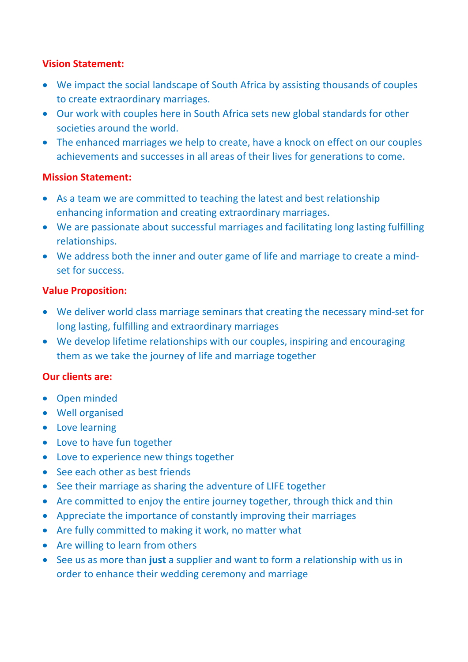#### **Vision Statement:**

- We impact the social landscape of South Africa by assisting thousands of couples to create extraordinary marriages.
- Our work with couples here in South Africa sets new global standards for other societies around the world.
- The enhanced marriages we help to create, have a knock on effect on our couples achievements and successes in all areas of their lives for generations to come.

#### **Mission Statement:**

- As a team we are committed to teaching the latest and best relationship enhancing information and creating extraordinary marriages.
- We are passionate about successful marriages and facilitating long lasting fulfilling relationships.
- We address both the inner and outer game of life and marriage to create a mindset for success.

#### **Value Proposition:**

- We deliver world class marriage seminars that creating the necessary mind-set for long lasting, fulfilling and extraordinary marriages
- We develop lifetime relationships with our couples, inspiring and encouraging them as we take the journey of life and marriage together

### **Our clients are:**

- Open minded
- Well organised
- Love learning
- Love to have fun together
- Love to experience new things together
- See each other as best friends
- See their marriage as sharing the adventure of LIFE together
- Are committed to enjoy the entire journey together, through thick and thin
- Appreciate the importance of constantly improving their marriages
- Are fully committed to making it work, no matter what
- Are willing to learn from others
- See us as more than **just** a supplier and want to form a relationship with us in order to enhance their wedding ceremony and marriage